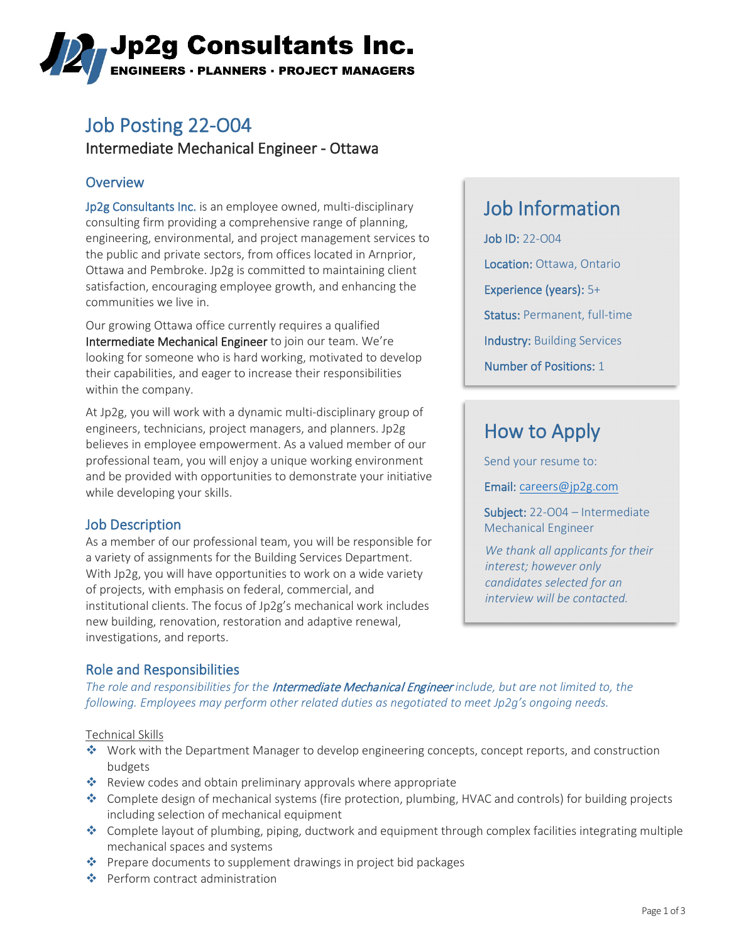# ,Jp2g Consultants Inc. **ENGINEERS · PLANNERS · PROJECT MANAGERS**

## Job Posting 22-O04

Intermediate Mechanical Engineer - Ottawa

### **Overview**

Jp2g Consultants Inc. is an employee owned, multi-disciplinary consulting firm providing a comprehensive range of planning, engineering, environmental, and project management services to the public and private sectors, from offices located in Arnprior, Ottawa and Pembroke. Jp2g is committed to maintaining client satisfaction, encouraging employee growth, and enhancing the communities we live in.

Our growing Ottawa office currently requires a qualified Intermediate Mechanical Engineer to join our team. We're looking for someone who is hard working, motivated to develop their capabilities, and eager to increase their responsibilities within the company.

At Jp2g, you will work with a dynamic multi-disciplinary group of engineers, technicians, project managers, and planners. Jp2g believes in employee empowerment. As a valued member of our professional team, you will enjoy a unique working environment and be provided with opportunities to demonstrate your initiative while developing your skills.

### Job Description

As a member of our professional team, you will be responsible for a variety of assignments for the Building Services Department. With Jp2g, you will have opportunities to work on a wide variety of projects, with emphasis on federal, commercial, and institutional clients. The focus of Jp2g's mechanical work includes new building, renovation, restoration and adaptive renewal, investigations, and reports.

## Job Information

Job ID: 22-O04 Location: Ottawa, Ontario Experience (years): 5+ Status: Permanent, full-time Industry: Building Services Number of Positions: 1

## How to Apply

Send your resume to:

Email: [careers@jp2g.com](mailto:careers@jp2g.com?subject=22-O04%20Intermediate%20Mechanical%20Engineer)

Subject: 22-O04 – Intermediate Mechanical Engineer

*We thank all applicants for their interest; however only candidates selected for an interview will be contacted.*

### Role and Responsibilities

*The role and responsibilities for the* Intermediate Mechanical Engineer *include, but are not limited to, the following. Employees may perform other related duties as negotiated to meet Jp2g's ongoing needs.*

#### Technical Skills

- Work with the Department Manager to develop engineering concepts, concept reports, and construction budgets
- Review codes and obtain preliminary approvals where appropriate
- Complete design of mechanical systems (fire protection, plumbing, HVAC and controls) for building projects including selection of mechanical equipment
- Complete layout of plumbing, piping, ductwork and equipment through complex facilities integrating multiple mechanical spaces and systems
- ◆ Prepare documents to supplement drawings in project bid packages
- ◆ Perform contract administration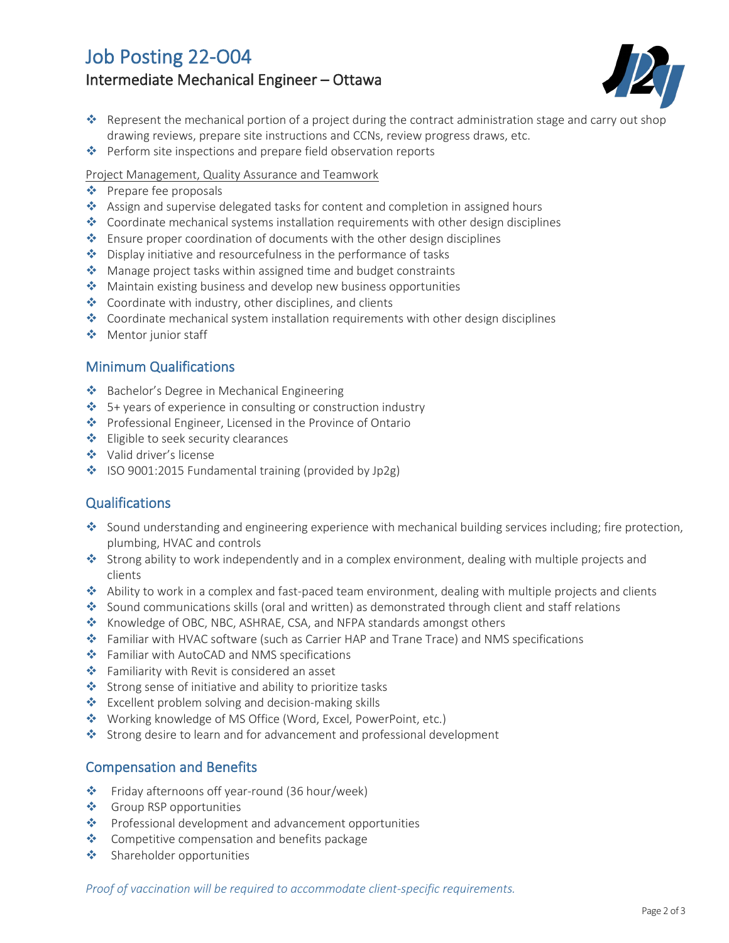## Job Posting 22-O04 Intermediate Mechanical Engineer – Ottawa



- Represent the mechanical portion of a project during the contract administration stage and carry out shop drawing reviews, prepare site instructions and CCNs, review progress draws, etc.
- ◆ Perform site inspections and prepare field observation reports
- Project Management, Quality Assurance and Teamwork
- ❖ Prepare fee proposals
- Assign and supervise delegated tasks for content and completion in assigned hours
- Coordinate mechanical systems installation requirements with other design disciplines
- **Ensure proper coordination of documents with the other design disciplines**
- ◆ Display initiative and resourcefulness in the performance of tasks
- ◆ Manage project tasks within assigned time and budget constraints
- ◆ Maintain existing business and develop new business opportunities
- $\triangleq$  Coordinate with industry, other disciplines, and clients
- $\bullet$  Coordinate mechanical system installation requirements with other design disciplines
- ◆ Mentor junior staff

#### Minimum Qualifications

- ◆ Bachelor's Degree in Mechanical Engineering
- $\div$  5+ years of experience in consulting or construction industry
- ◆ Professional Engineer, Licensed in the Province of Ontario
- **❖** Eligible to seek security clearances
- Valid driver's license
- ISO 9001:2015 Fundamental training (provided by Jp2g)

#### **Qualifications**

- Sound understanding and engineering experience with mechanical building services including; fire protection, plumbing, HVAC and controls
- Strong ability to work independently and in a complex environment, dealing with multiple projects and clients
- Ability to work in a complex and fast-paced team environment, dealing with multiple projects and clients
- ◆ Sound communications skills (oral and written) as demonstrated through client and staff relations
- \* Knowledge of OBC, NBC, ASHRAE, CSA, and NFPA standards amongst others
- Familiar with HVAC software (such as Carrier HAP and Trane Trace) and NMS specifications
- Familiar with AutoCAD and NMS specifications
- Familiarity with Revit is considered an asset
- Strong sense of initiative and ability to prioritize tasks
- ❖ Excellent problem solving and decision-making skills
- ◆ Working knowledge of MS Office (Word, Excel, PowerPoint, etc.)
- Strong desire to learn and for advancement and professional development

### Compensation and Benefits

- Friday afternoons off year-round (36 hour/week)
- ❖ Group RSP opportunities
- \* Professional development and advancement opportunities
- **❖** Competitive compensation and benefits package
- ◆ Shareholder opportunities

*Proof of vaccination will be required to accommodate client-specific requirements.*